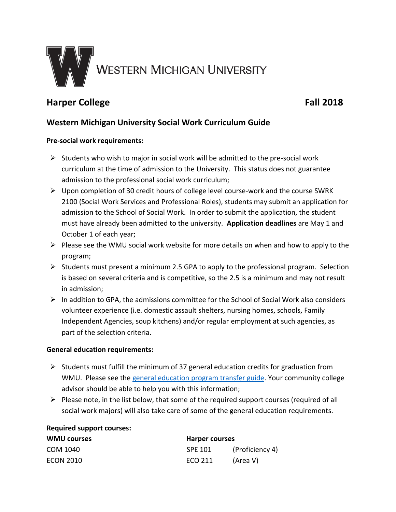

# **Harper College Fall 2018**

## **Western Michigan University Social Work Curriculum Guide**

#### **Pre-social work requirements:**

- $\triangleright$  Students who wish to major in social work will be admitted to the pre-social work curriculum at the time of admission to the University. This status does not guarantee admission to the professional social work curriculum;
- $\triangleright$  Upon completion of 30 credit hours of college level course-work and the course SWRK 2100 (Social Work Services and Professional Roles), students may submit an application for admission to the School of Social Work. In order to submit the application, the student must have already been admitted to the university. **Application deadlines** are May 1 and October 1 of each year;
- $\triangleright$  Please see the WMU social work website for more details on when and how to apply to the program;
- $\triangleright$  Students must present a minimum 2.5 GPA to apply to the professional program. Selection is based on several criteria and is competitive, so the 2.5 is a minimum and may not result in admission;
- $\triangleright$  In addition to GPA, the admissions committee for the School of Social Work also considers volunteer experience (i.e. domestic assault shelters, nursing homes, schools, Family Independent Agencies, soup kitchens) and/or regular employment at such agencies, as part of the selection criteria.

#### **General education requirements:**

- $\triangleright$  Students must fulfill the minimum of 37 general education credits for graduation from WMU. Please see th[e general education program transfer guide.](http://www.wmich.edu/admissions/transfer/guides/Harper/gened/) Your community college advisor should be able to help you with this information;
- $\triangleright$  Please note, in the list below, that some of the required support courses (required of all social work majors) will also take care of some of the general education requirements.

#### **Required support courses:**

| <b>WMU courses</b> | Harper courses |                 |
|--------------------|----------------|-----------------|
| COM 1040           | SPE 101        | (Proficiency 4) |
| <b>ECON 2010</b>   | ECO 211        | (Area V)        |